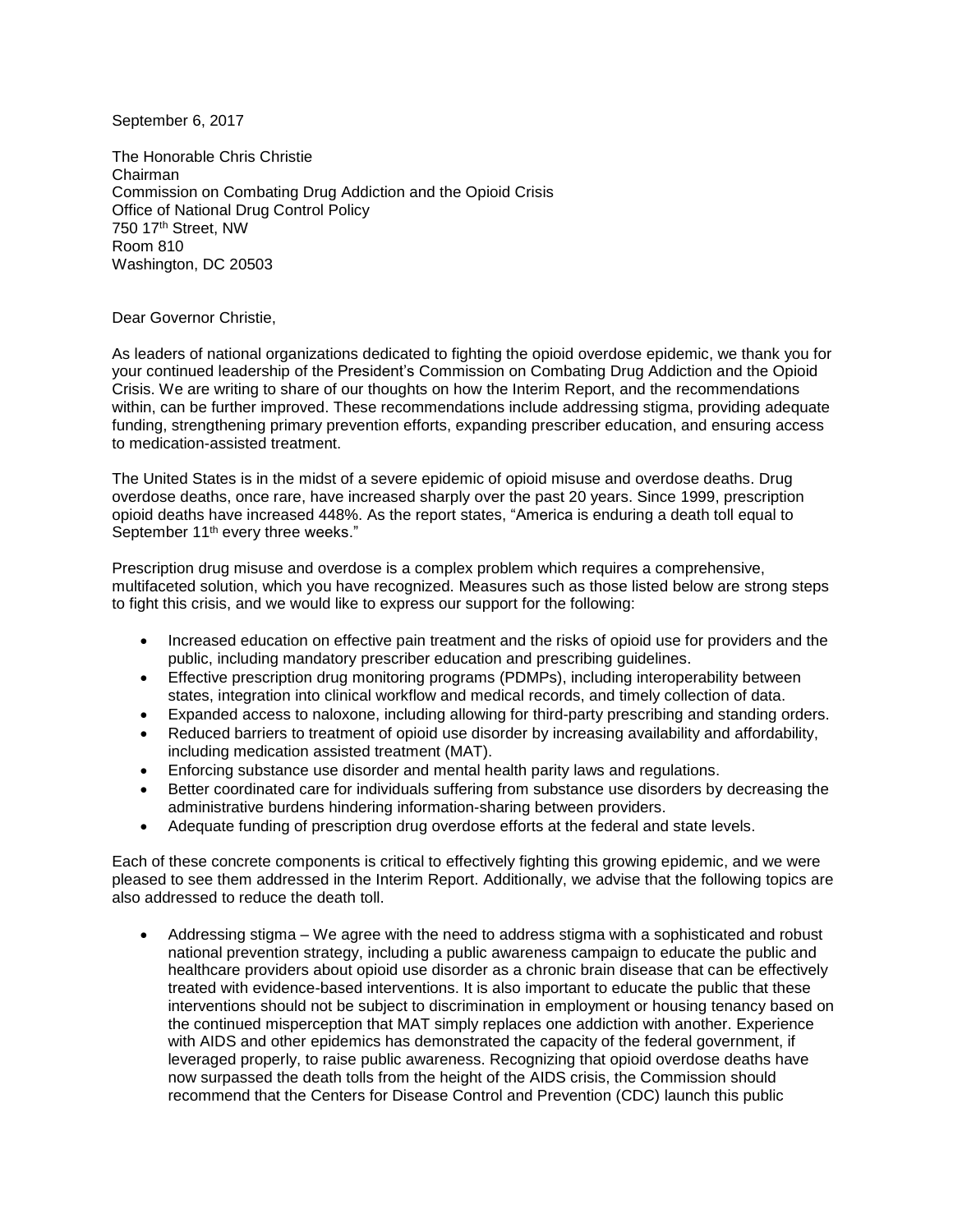September 6, 2017

The Honorable Chris Christie Chairman Commission on Combating Drug Addiction and the Opioid Crisis Office of National Drug Control Policy 750 17th Street, NW Room 810 Washington, DC 20503

Dear Governor Christie,

As leaders of national organizations dedicated to fighting the opioid overdose epidemic, we thank you for your continued leadership of the President's Commission on Combating Drug Addiction and the Opioid Crisis. We are writing to share of our thoughts on how the Interim Report, and the recommendations within, can be further improved. These recommendations include addressing stigma, providing adequate funding, strengthening primary prevention efforts, expanding prescriber education, and ensuring access to medication-assisted treatment.

The United States is in the midst of a severe epidemic of opioid misuse and overdose deaths. Drug overdose deaths, once rare, have increased sharply over the past 20 years. Since 1999, prescription opioid deaths have increased 448%. As the report states, "America is enduring a death toll equal to September 11<sup>th</sup> every three weeks."

Prescription drug misuse and overdose is a complex problem which requires a comprehensive, multifaceted solution, which you have recognized. Measures such as those listed below are strong steps to fight this crisis, and we would like to express our support for the following:

- Increased education on effective pain treatment and the risks of opioid use for providers and the public, including mandatory prescriber education and prescribing guidelines.
- Effective prescription drug monitoring programs (PDMPs), including interoperability between states, integration into clinical workflow and medical records, and timely collection of data.
- Expanded access to naloxone, including allowing for third-party prescribing and standing orders.
- Reduced barriers to treatment of opioid use disorder by increasing availability and affordability, including medication assisted treatment (MAT).
- Enforcing substance use disorder and mental health parity laws and regulations.
- Better coordinated care for individuals suffering from substance use disorders by decreasing the administrative burdens hindering information-sharing between providers.
- Adequate funding of prescription drug overdose efforts at the federal and state levels.

Each of these concrete components is critical to effectively fighting this growing epidemic, and we were pleased to see them addressed in the Interim Report. Additionally, we advise that the following topics are also addressed to reduce the death toll.

 Addressing stigma – We agree with the need to address stigma with a sophisticated and robust national prevention strategy, including a public awareness campaign to educate the public and healthcare providers about opioid use disorder as a chronic brain disease that can be effectively treated with evidence-based interventions. It is also important to educate the public that these interventions should not be subject to discrimination in employment or housing tenancy based on the continued misperception that MAT simply replaces one addiction with another. Experience with AIDS and other epidemics has demonstrated the capacity of the federal government, if leveraged properly, to raise public awareness. Recognizing that opioid overdose deaths have now surpassed the death tolls from the height of the AIDS crisis, the Commission should recommend that the Centers for Disease Control and Prevention (CDC) launch this public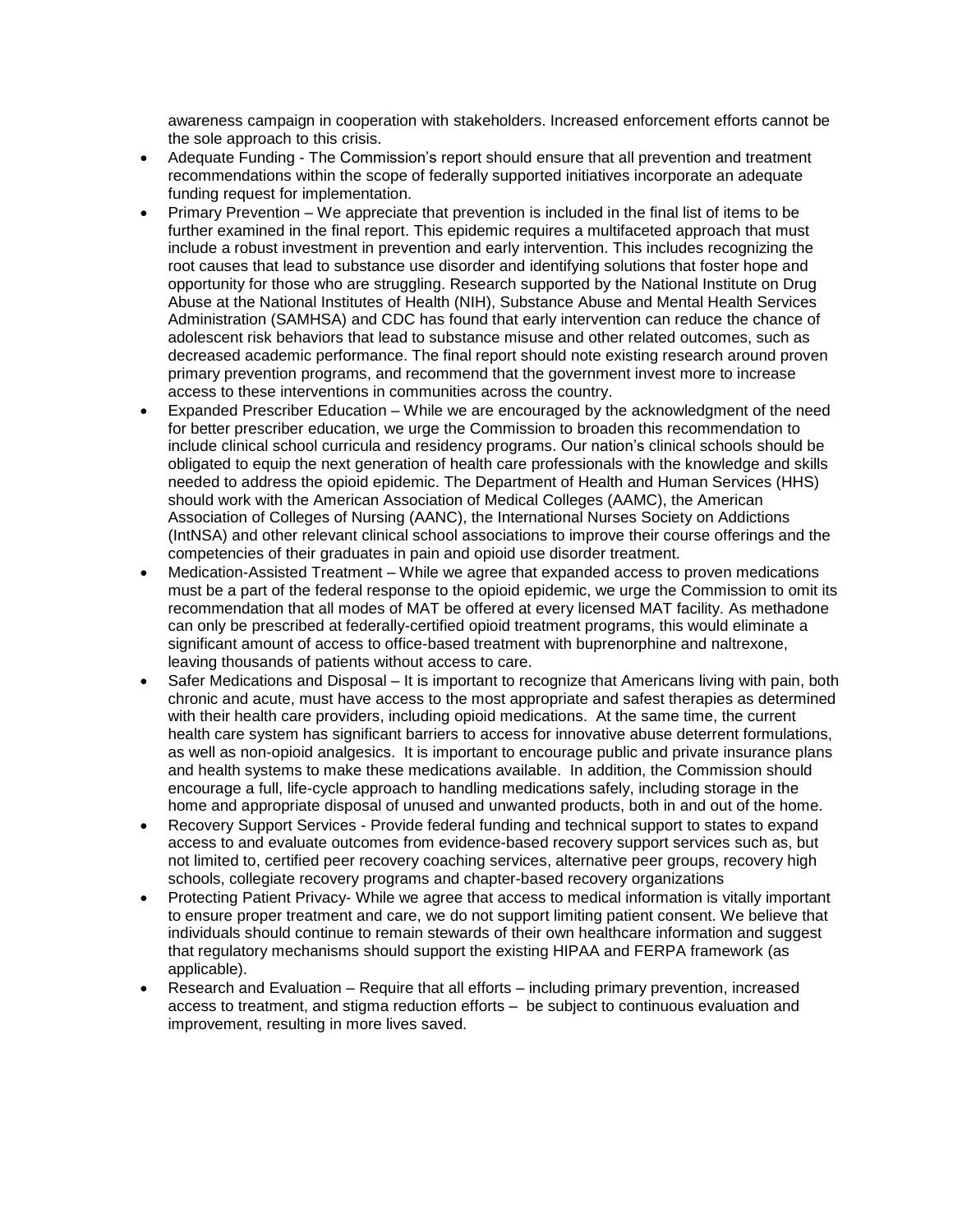awareness campaign in cooperation with stakeholders. Increased enforcement efforts cannot be the sole approach to this crisis.

- Adequate Funding The Commission's report should ensure that all prevention and treatment recommendations within the scope of federally supported initiatives incorporate an adequate funding request for implementation.
- Primary Prevention We appreciate that prevention is included in the final list of items to be further examined in the final report. This epidemic requires a multifaceted approach that must include a robust investment in prevention and early intervention. This includes recognizing the root causes that lead to substance use disorder and identifying solutions that foster hope and opportunity for those who are struggling. Research supported by the National Institute on Drug Abuse at the National Institutes of Health (NIH), Substance Abuse and Mental Health Services Administration (SAMHSA) and CDC has found that early intervention can reduce the chance of adolescent risk behaviors that lead to substance misuse and other related outcomes, such as decreased academic performance. The final report should note existing research around proven primary prevention programs, and recommend that the government invest more to increase access to these interventions in communities across the country.
- Expanded Prescriber Education While we are encouraged by the acknowledgment of the need for better prescriber education, we urge the Commission to broaden this recommendation to include clinical school curricula and residency programs. Our nation's clinical schools should be obligated to equip the next generation of health care professionals with the knowledge and skills needed to address the opioid epidemic. The Department of Health and Human Services (HHS) should work with the American Association of Medical Colleges (AAMC), the American Association of Colleges of Nursing (AANC), the International Nurses Society on Addictions (IntNSA) and other relevant clinical school associations to improve their course offerings and the competencies of their graduates in pain and opioid use disorder treatment.
- Medication-Assisted Treatment While we agree that expanded access to proven medications must be a part of the federal response to the opioid epidemic, we urge the Commission to omit its recommendation that all modes of MAT be offered at every licensed MAT facility. As methadone can only be prescribed at federally-certified opioid treatment programs, this would eliminate a significant amount of access to office-based treatment with buprenorphine and naltrexone, leaving thousands of patients without access to care.
- Safer Medications and Disposal It is important to recognize that Americans living with pain, both chronic and acute, must have access to the most appropriate and safest therapies as determined with their health care providers, including opioid medications. At the same time, the current health care system has significant barriers to access for innovative abuse deterrent formulations, as well as non-opioid analgesics. It is important to encourage public and private insurance plans and health systems to make these medications available. In addition, the Commission should encourage a full, life-cycle approach to handling medications safely, including storage in the home and appropriate disposal of unused and unwanted products, both in and out of the home.
- Recovery Support Services Provide federal funding and technical support to states to expand access to and evaluate outcomes from evidence-based recovery support services such as, but not limited to, certified peer recovery coaching services, alternative peer groups, recovery high schools, collegiate recovery programs and chapter-based recovery organizations
- Protecting Patient Privacy- While we agree that access to medical information is vitally important to ensure proper treatment and care, we do not support limiting patient consent. We believe that individuals should continue to remain stewards of their own healthcare information and suggest that regulatory mechanisms should support the existing HIPAA and FERPA framework (as applicable).
- Research and Evaluation Require that all efforts including primary prevention, increased access to treatment, and stigma reduction efforts – be subject to continuous evaluation and improvement, resulting in more lives saved.